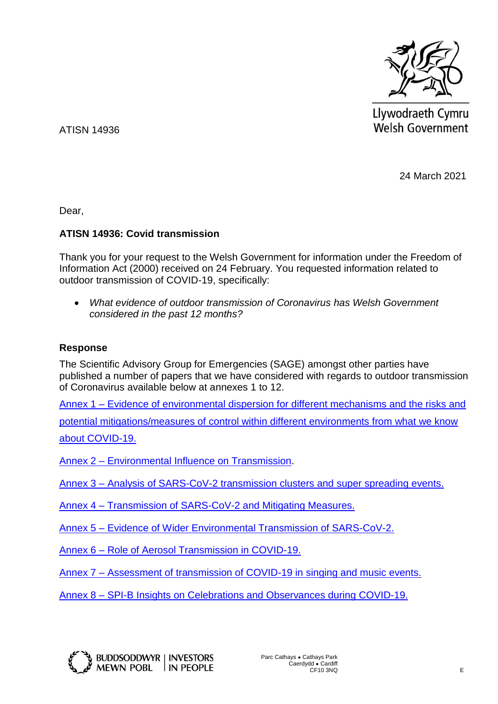

Llywodraeth Cymru Welsh Government

ATISN 14936

24 March 2021

Dear,

## **ATISN 14936: Covid transmission**

Thank you for your request to the Welsh Government for information under the Freedom of Information Act (2000) received on 24 February. You requested information related to outdoor transmission of COVID-19, specifically:

 *What evidence of outdoor transmission of Coronavirus has Welsh Government considered in the past 12 months?*

## **Response**

The Scientific Advisory Group for Emergencies (SAGE) amongst other parties have published a number of papers that we have considered with regards to outdoor transmission of Coronavirus available below at annexes 1 to 12.

Annex 1 – [Evidence of environmental dispersion for different mechanisms and the risks and](https://assets.publishing.service.gov.uk/government/uploads/system/uploads/attachment_data/file/887556/SAGE_paper_Apr_2020_Final-redacted.pdf)  [potential mitigations/measures of control within different environments from what we know](https://assets.publishing.service.gov.uk/government/uploads/system/uploads/attachment_data/file/887556/SAGE_paper_Apr_2020_Final-redacted.pdf)  [about COVID-19.](https://assets.publishing.service.gov.uk/government/uploads/system/uploads/attachment_data/file/887556/SAGE_paper_Apr_2020_Final-redacted.pdf)

Annex 2 – [Environmental Influence on Transmission.](https://assets.publishing.service.gov.uk/government/uploads/system/uploads/attachment_data/file/887618/EMG_Environmental_transmission-_02052020__1_.pdf)

Annex 3 – [Analysis of SARS-CoV-2 transmission clusters and super spreading](https://assets.publishing.service.gov.uk/government/uploads/system/uploads/attachment_data/file/897562/S0473_SPI-M_Superspreading_and_clusters.pdf) events.

Annex 4 – [Transmission of SARS-CoV-2 and Mitigating Measures.](https://assets.publishing.service.gov.uk/government/uploads/system/uploads/attachment_data/file/892043/S0484_Transmission_of_SARS-CoV-2_and_Mitigating_Measures.pdf)

Annex 5 – [Evidence of Wider Environmental Transmission of SARS-CoV-2.](https://assets.publishing.service.gov.uk/government/uploads/system/uploads/attachment_data/file/899611/s0546-tweg-evidence-wider-environmental-transmission-200612.pdf)

Annex 6 – [Role of Aerosol Transmission in COVID-19.](https://assets.publishing.service.gov.uk/government/uploads/system/uploads/attachment_data/file/907587/s0643-nervtag-emg-role-aerosol-transmission-covid-19-sage-48.pdf)

Annex 7 – [Assessment of transmission of COVID-19 in singing and music events.](https://assets.publishing.service.gov.uk/government/uploads/system/uploads/attachment_data/file/905062/S0628_NERVTAG_Assessment_of_transmission_of_COVID-19_through_musical_events.pdf)

Annex 8 – [SPI-B Insights on Celebrations and Observances during](https://assets.publishing.service.gov.uk/government/uploads/system/uploads/attachment_data/file/939056/S0850_SPI-B_-_Insights_on_Celebrations_and_Observances_during_Covid-19.pdf) COVID-19.